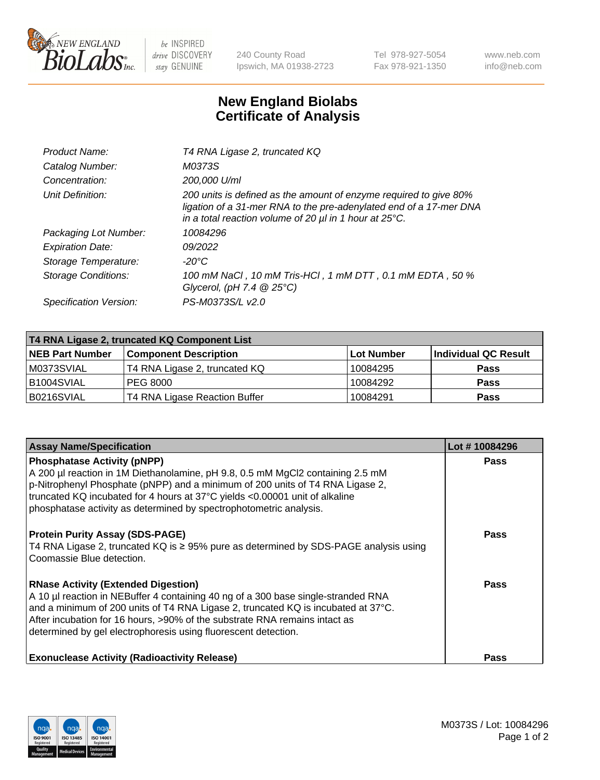

 $be$  INSPIRED drive DISCOVERY stay GENUINE

240 County Road Ipswich, MA 01938-2723 Tel 978-927-5054 Fax 978-921-1350 www.neb.com info@neb.com

## **New England Biolabs Certificate of Analysis**

| Product Name:              | T4 RNA Ligase 2, truncated KQ                                                                                                                                                                                    |
|----------------------------|------------------------------------------------------------------------------------------------------------------------------------------------------------------------------------------------------------------|
| Catalog Number:            | M0373S                                                                                                                                                                                                           |
| Concentration:             | 200,000 U/ml                                                                                                                                                                                                     |
| Unit Definition:           | 200 units is defined as the amount of enzyme required to give 80%<br>ligation of a 31-mer RNA to the pre-adenylated end of a 17-mer DNA<br>in a total reaction volume of 20 $\mu$ l in 1 hour at 25 $\degree$ C. |
| Packaging Lot Number:      | 10084296                                                                                                                                                                                                         |
| <b>Expiration Date:</b>    | 09/2022                                                                                                                                                                                                          |
| Storage Temperature:       | -20°C                                                                                                                                                                                                            |
| <b>Storage Conditions:</b> | 100 mM NaCl, 10 mM Tris-HCl, 1 mM DTT, 0.1 mM EDTA, 50 %<br>Glycerol, (pH 7.4 $@25°C$ )                                                                                                                          |
| Specification Version:     | PS-M0373S/L v2.0                                                                                                                                                                                                 |

| T4 RNA Ligase 2, truncated KQ Component List |                               |            |                      |  |  |
|----------------------------------------------|-------------------------------|------------|----------------------|--|--|
| <b>NEB Part Number</b>                       | <b>Component Description</b>  | Lot Number | Individual QC Result |  |  |
| M0373SVIAL                                   | T4 RNA Ligase 2, truncated KQ | 10084295   | <b>Pass</b>          |  |  |
| B1004SVIAL                                   | PEG 8000                      | 10084292   | <b>Pass</b>          |  |  |
| B0216SVIAL                                   | T4 RNA Ligase Reaction Buffer | 10084291   | <b>Pass</b>          |  |  |

| <b>Assay Name/Specification</b>                                                                                                                                                                                                                                                                                                                                      | Lot #10084296 |
|----------------------------------------------------------------------------------------------------------------------------------------------------------------------------------------------------------------------------------------------------------------------------------------------------------------------------------------------------------------------|---------------|
| <b>Phosphatase Activity (pNPP)</b><br>A 200 µl reaction in 1M Diethanolamine, pH 9.8, 0.5 mM MgCl2 containing 2.5 mM<br>p-Nitrophenyl Phosphate (pNPP) and a minimum of 200 units of T4 RNA Ligase 2,<br>truncated KQ incubated for 4 hours at 37°C yields <0.00001 unit of alkaline<br>phosphatase activity as determined by spectrophotometric analysis.           | <b>Pass</b>   |
| <b>Protein Purity Assay (SDS-PAGE)</b><br>T4 RNA Ligase 2, truncated KQ is $\geq$ 95% pure as determined by SDS-PAGE analysis using<br>Coomassie Blue detection.                                                                                                                                                                                                     | Pass          |
| <b>RNase Activity (Extended Digestion)</b><br>A 10 µl reaction in NEBuffer 4 containing 40 ng of a 300 base single-stranded RNA<br>and a minimum of 200 units of T4 RNA Ligase 2, truncated KQ is incubated at 37°C.<br>After incubation for 16 hours, >90% of the substrate RNA remains intact as<br>determined by gel electrophoresis using fluorescent detection. | <b>Pass</b>   |
| <b>Exonuclease Activity (Radioactivity Release)</b>                                                                                                                                                                                                                                                                                                                  | Pass          |